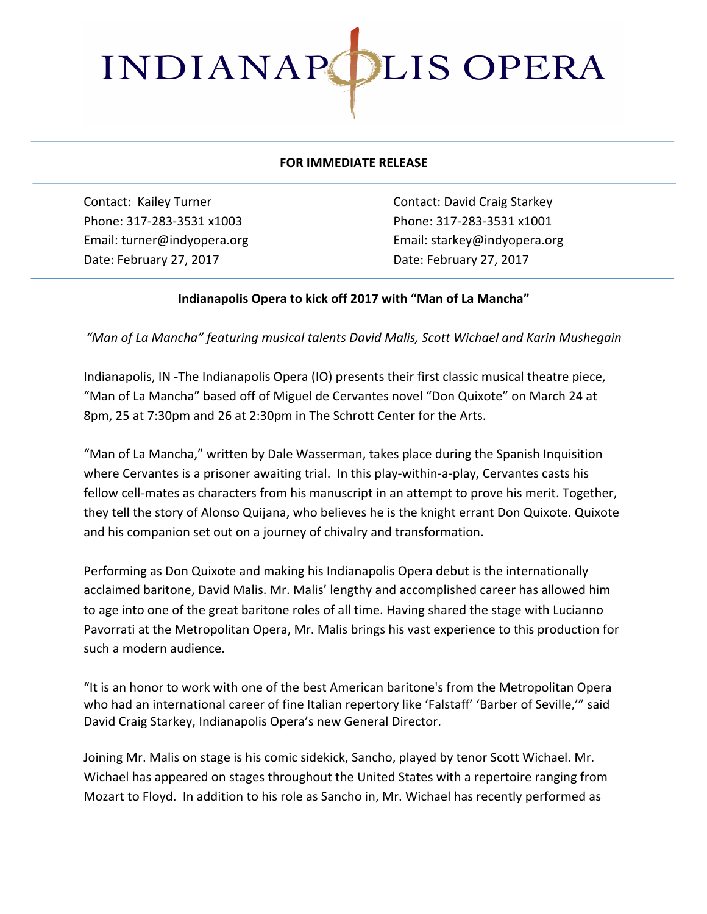

## **FOR IMMEDIATE RELEASE**

Phone: 317-283-3531 x1003 Phone: 317-283-3531 x1001 Date: February 27, 2017 **Date: February 27, 2017** 

Contact: Kailey Turner **Contact:** David Craig Starkey Email: turner@indyopera.org Email: starkey@indyopera.org

## Indianapolis Opera to kick off 2017 with "Man of La Mancha"

*"Man of La Mancha" featuring musical talents David Malis, Scott Wichael and Karin Mushegain*

Indianapolis, IN -The Indianapolis Opera (IO) presents their first classic musical theatre piece, "Man of La Mancha" based off of Miguel de Cervantes novel "Don Quixote" on March 24 at 8pm, 25 at 7:30pm and 26 at 2:30pm in The Schrott Center for the Arts.

"Man of La Mancha," written by Dale Wasserman, takes place during the Spanish Inquisition where Cervantes is a prisoner awaiting trial. In this play-within-a-play, Cervantes casts his fellow cell-mates as characters from his manuscript in an attempt to prove his merit. Together, they tell the story of Alonso Quijana, who believes he is the knight errant Don Quixote. Quixote and his companion set out on a journey of chivalry and transformation.

Performing as Don Quixote and making his Indianapolis Opera debut is the internationally acclaimed baritone, David Malis. Mr. Malis' lengthy and accomplished career has allowed him to age into one of the great baritone roles of all time. Having shared the stage with Lucianno Pavorrati at the Metropolitan Opera, Mr. Malis brings his vast experience to this production for such a modern audience.

"It is an honor to work with one of the best American baritone's from the Metropolitan Opera who had an international career of fine Italian repertory like 'Falstaff' 'Barber of Seville,'" said David Craig Starkey, Indianapolis Opera's new General Director.

Joining Mr. Malis on stage is his comic sidekick, Sancho, played by tenor Scott Wichael. Mr. Wichael has appeared on stages throughout the United States with a repertoire ranging from Mozart to Floyd. In addition to his role as Sancho in, Mr. Wichael has recently performed as